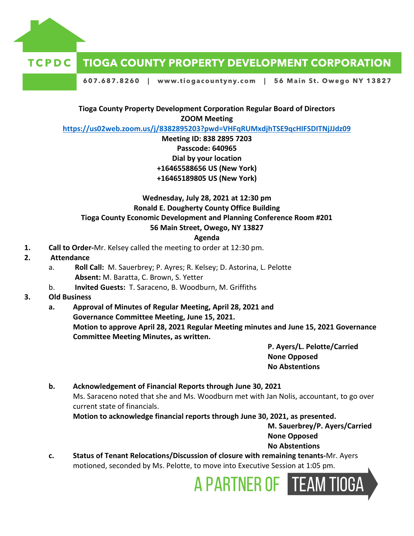

#### **TCPDC TIOGA COUNTY PROPERTY DEVELOPMENT CORPORATION**

607.687.8260 | www.tiogacountyny.com | 56 Main St. Owego NY 13827

# **Tioga County Property Development Corporation Regular Board of Directors ZOOM Meeting**

**<https://us02web.zoom.us/j/8382895203?pwd=VHFqRUMxdjhTSE9qcHIFSDITNjJJdz09>**

# **Meeting ID: 838 2895 7203 Passcode: 640965 Dial by your location +16465588656 US (New York) +16465189805 US (New York)**

# **Wednesday, July 28, 2021 at 12:30 pm Ronald E. Dougherty County Office Building Tioga County Economic Development and Planning Conference Room #201 56 Main Street, Owego, NY 13827**

#### **Agenda**

- **1. Call to Order-**Mr. Kelsey called the meeting to order at 12:30 pm.
- **2. Attendance**
	- a. **Roll Call:** M. Sauerbrey; P. Ayres; R. Kelsey; D. Astorina, L. Pelotte **Absent:** M. Baratta, C. Brown, S. Yetter
	- b. **Invited Guests:** T. Saraceno, B. Woodburn, M. Griffiths

# **3. Old Business**

**a. Approval of Minutes of Regular Meeting, April 28, 2021 and Governance Committee Meeting, June 15, 2021. Motion to approve April 28, 2021 Regular Meeting minutes and June 15, 2021 Governance Committee Meeting Minutes, as written.**

> **P. Ayers/L. Pelotte/Carried None Opposed No Abstentions**

# **b. Acknowledgement of Financial Reports through June 30, 2021** Ms. Saraceno noted that she and Ms. Woodburn met with Jan Nolis, accountant, to go over current state of financials. **Motion to acknowledge financial reports through June 30, 2021, as presented.**

**M. Sauerbrey/P. Ayers/Carried None Opposed No Abstentions**

**c. Status of Tenant Relocations/Discussion of closure with remaining tenants-**Mr. Ayers motioned, seconded by Ms. Pelotte, to move into Executive Session at 1:05 pm.

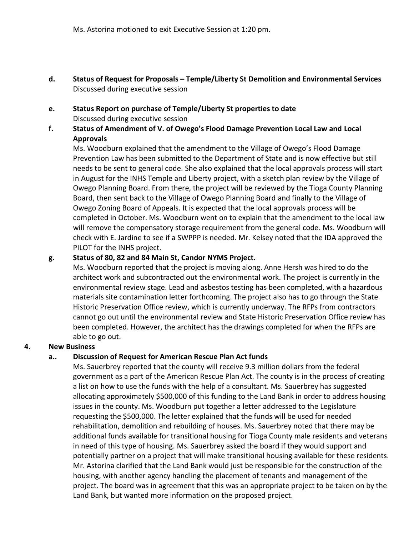- **d. Status of Request for Proposals – Temple/Liberty St Demolition and Environmental Services** Discussed during executive session
- **e. Status Report on purchase of Temple/Liberty St properties to date** Discussed during executive session
- **f. Status of Amendment of V. of Owego's Flood Damage Prevention Local Law and Local Approvals**

Ms. Woodburn explained that the amendment to the Village of Owego's Flood Damage Prevention Law has been submitted to the Department of State and is now effective but still needs to be sent to general code. She also explained that the local approvals process will start in August for the INHS Temple and Liberty project, with a sketch plan review by the Village of Owego Planning Board. From there, the project will be reviewed by the Tioga County Planning Board, then sent back to the Village of Owego Planning Board and finally to the Village of Owego Zoning Board of Appeals. It is expected that the local approvals process will be completed in October. Ms. Woodburn went on to explain that the amendment to the local law will remove the compensatory storage requirement from the general code. Ms. Woodburn will check with E. Jardine to see if a SWPPP is needed. Mr. Kelsey noted that the IDA approved the PILOT for the INHS project.

#### **g. Status of 80, 82 and 84 Main St, Candor NYMS Project.**

Ms. Woodburn reported that the project is moving along. Anne Hersh was hired to do the architect work and subcontracted out the environmental work. The project is currently in the environmental review stage. Lead and asbestos testing has been completed, with a hazardous materials site contamination letter forthcoming. The project also has to go through the State Historic Preservation Office review, which is currently underway. The RFPs from contractors cannot go out until the environmental review and State Historic Preservation Office review has been completed. However, the architect has the drawings completed for when the RFPs are able to go out.

# **4. New Business**

# **a.. Discussion of Request for American Rescue Plan Act funds**

Ms. Sauerbrey reported that the county will receive 9.3 million dollars from the federal government as a part of the American Rescue Plan Act. The county is in the process of creating a list on how to use the funds with the help of a consultant. Ms. Sauerbrey has suggested allocating approximately \$500,000 of this funding to the Land Bank in order to address housing issues in the county. Ms. Woodburn put together a letter addressed to the Legislature requesting the \$500,000. The letter explained that the funds will be used for needed rehabilitation, demolition and rebuilding of houses. Ms. Sauerbrey noted that there may be additional funds available for transitional housing for Tioga County male residents and veterans in need of this type of housing. Ms. Sauerbrey asked the board if they would support and potentially partner on a project that will make transitional housing available for these residents. Mr. Astorina clarified that the Land Bank would just be responsible for the construction of the housing, with another agency handling the placement of tenants and management of the project. The board was in agreement that this was an appropriate project to be taken on by the Land Bank, but wanted more information on the proposed project.